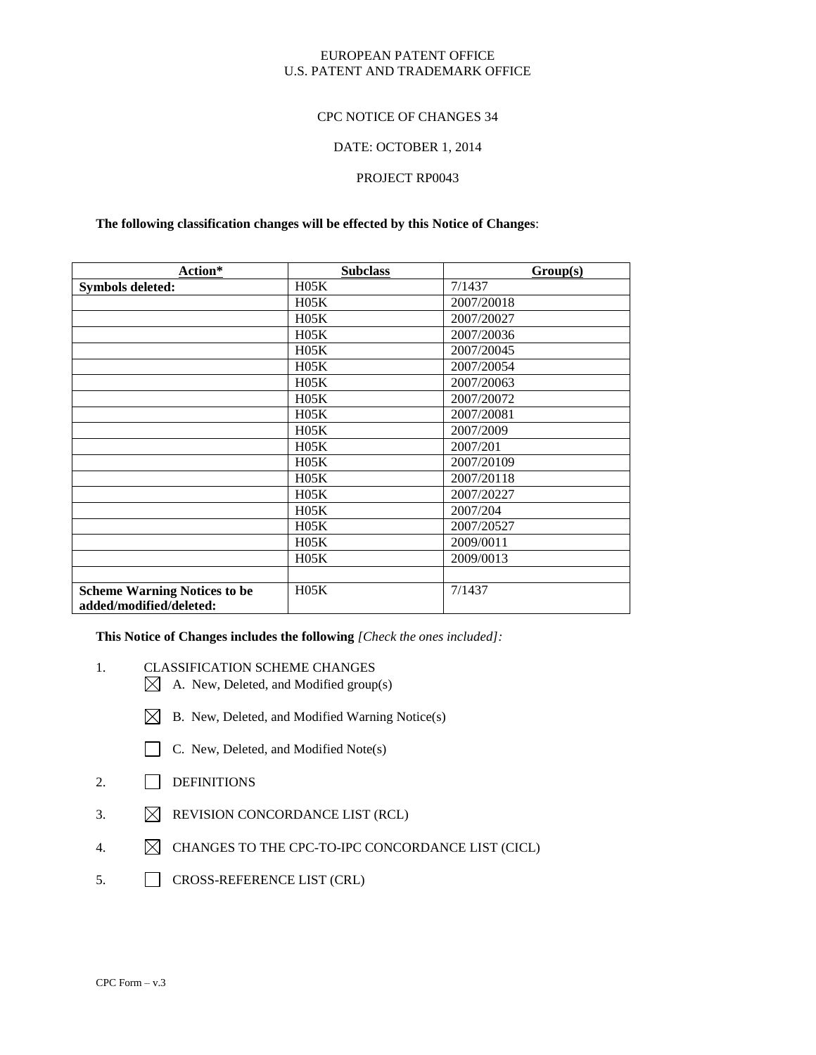### EUROPEAN PATENT OFFICE U.S. PATENT AND TRADEMARK OFFICE

### CPC NOTICE OF CHANGES 34

#### DATE: OCTOBER 1, 2014

## PROJECT RP0043

#### **The following classification changes will be effected by this Notice of Changes**:

| Action*                                                        | <b>Subclass</b> | Group(s)   |
|----------------------------------------------------------------|-----------------|------------|
| <b>Symbols deleted:</b>                                        | H05K            | 7/1437     |
|                                                                | H05K            | 2007/20018 |
|                                                                | H05K            | 2007/20027 |
|                                                                | H05K            | 2007/20036 |
|                                                                | H05K            | 2007/20045 |
|                                                                | H05K            | 2007/20054 |
|                                                                | H05K            | 2007/20063 |
|                                                                | H05K            | 2007/20072 |
|                                                                | H05K            | 2007/20081 |
|                                                                | H05K            | 2007/2009  |
|                                                                | H05K            | 2007/201   |
|                                                                | H05K            | 2007/20109 |
|                                                                | H05K            | 2007/20118 |
|                                                                | H05K            | 2007/20227 |
|                                                                | H05K            | 2007/204   |
|                                                                | H05K            | 2007/20527 |
|                                                                | H05K            | 2009/0011  |
|                                                                | H05K            | 2009/0013  |
|                                                                |                 |            |
| <b>Scheme Warning Notices to be</b><br>added/modified/deleted: | H05K            | 7/1437     |

**This Notice of Changes includes the following** *[Check the ones included]:*

- 1. CLASSIFICATION SCHEME CHANGES
	- $\boxtimes$  A. New, Deleted, and Modified group(s)
	- $\boxtimes$  B. New, Deleted, and Modified Warning Notice(s)
	- C. New, Deleted, and Modified Note(s)
- 2. DEFINITIONS
- 3.  $\boxtimes$  REVISION CONCORDANCE LIST (RCL)
- 4.  $\boxtimes$  CHANGES TO THE CPC-TO-IPC CONCORDANCE LIST (CICL)
- 5. CROSS-REFERENCE LIST (CRL)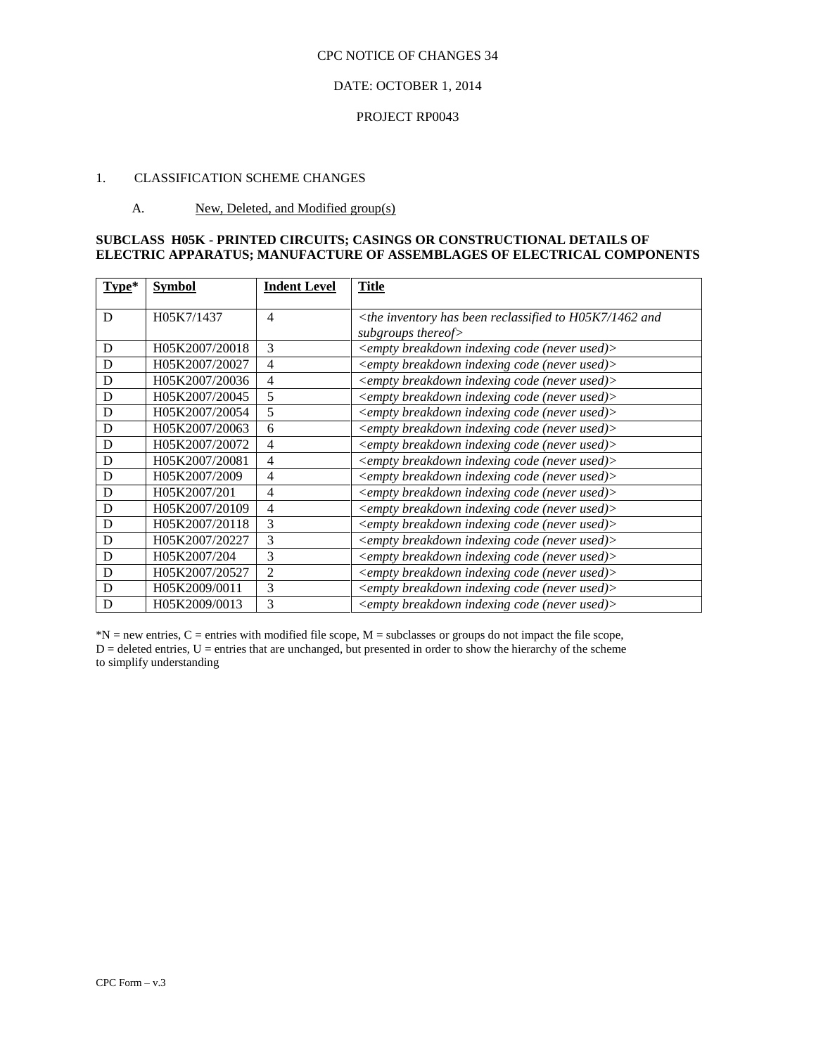## DATE: OCTOBER 1, 2014

#### PROJECT RP0043

## 1. CLASSIFICATION SCHEME CHANGES

#### A. New, Deleted, and Modified group(s)

## **SUBCLASS H05K - PRINTED CIRCUITS; CASINGS OR CONSTRUCTIONAL DETAILS OF ELECTRIC APPARATUS; MANUFACTURE OF ASSEMBLAGES OF ELECTRICAL COMPONENTS**

| $Type*$ | <b>Symbol</b>  | <b>Indent Level</b> | <b>Title</b>                                                                          |
|---------|----------------|---------------------|---------------------------------------------------------------------------------------|
| D       | H05K7/1437     | 4                   | $\langle$ the inventory has been reclassified to H05K7/1462 and<br>subgroups thereof> |
| D       | H05K2007/20018 | 3                   | <empty (never="" breakdown="" code="" indexing="" used)=""></empty>                   |
| D       | H05K2007/20027 | 4                   | <empty (never="" breakdown="" code="" indexing="" used)=""></empty>                   |
| D       | H05K2007/20036 | 4                   | <empty (never="" breakdown="" code="" indexing="" used)=""></empty>                   |
| D       | H05K2007/20045 | 5                   | <empty (never="" breakdown="" code="" indexing="" used)=""></empty>                   |
| D       | H05K2007/20054 | 5                   | <empty (never="" breakdown="" code="" indexing="" used)=""></empty>                   |
| D       | H05K2007/20063 | 6                   | <empty (never="" breakdown="" code="" indexing="" used)=""></empty>                   |
| D       | H05K2007/20072 | 4                   | <empty (never="" breakdown="" code="" indexing="" used)=""></empty>                   |
| D       | H05K2007/20081 | 4                   | <empty (never="" breakdown="" code="" indexing="" used)=""></empty>                   |
| D       | H05K2007/2009  | 4                   | <empty (never="" breakdown="" code="" indexing="" used)=""></empty>                   |
| D       | H05K2007/201   | 4                   | <empty (never="" breakdown="" code="" indexing="" used)=""></empty>                   |
| D       | H05K2007/20109 | 4                   | <empty (never="" breakdown="" code="" indexing="" used)=""></empty>                   |
| D       | H05K2007/20118 | 3                   | <empty (never="" breakdown="" code="" indexing="" used)=""></empty>                   |
| D       | H05K2007/20227 | 3                   | <empty (never="" breakdown="" code="" indexing="" used)=""></empty>                   |
| D       | H05K2007/204   | 3                   | <empty (never="" breakdown="" code="" indexing="" used)=""></empty>                   |
| D       | H05K2007/20527 | $\overline{2}$      | <empty (never="" breakdown="" code="" indexing="" used)=""></empty>                   |
| D       | H05K2009/0011  | 3                   | <empty (never="" breakdown="" code="" indexing="" used)=""></empty>                   |
| D       | H05K2009/0013  | 3                   | <empty (never="" breakdown="" code="" indexing="" used)=""></empty>                   |

\*N = new entries, C = entries with modified file scope, M = subclasses or groups do not impact the file scope,  $D =$  deleted entries,  $U =$  entries that are unchanged, but presented in order to show the hierarchy of the scheme to simplify understanding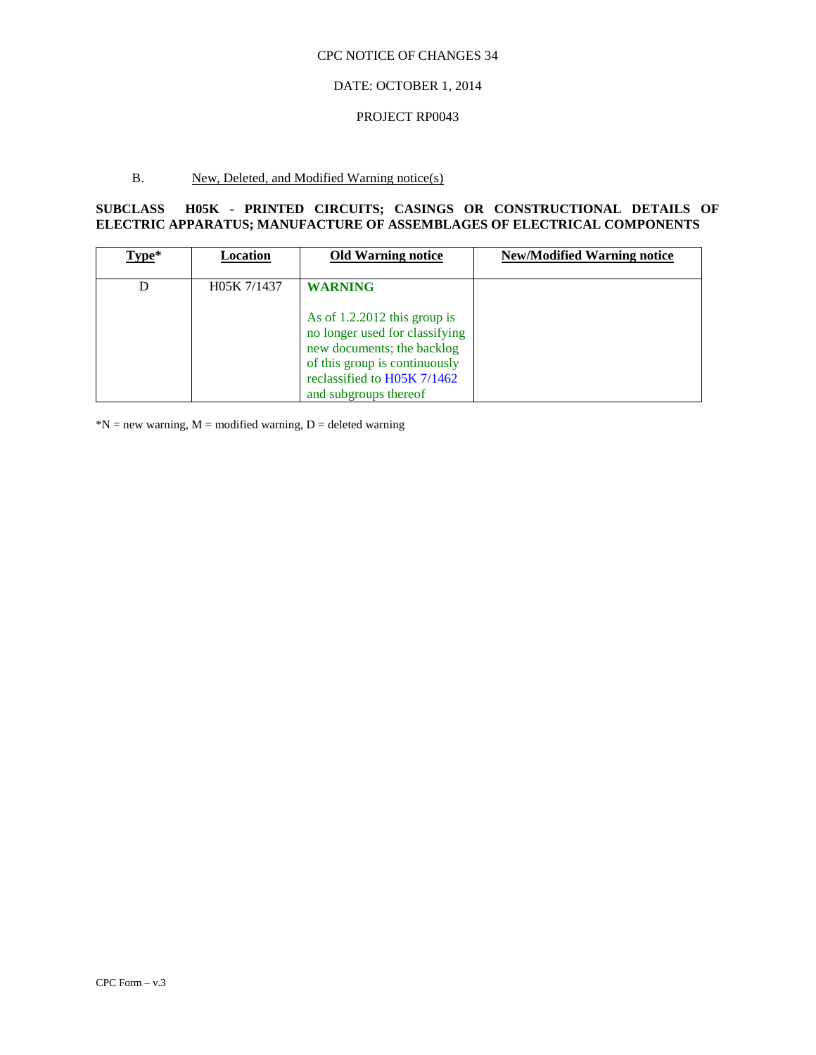## DATE: OCTOBER 1, 2014

#### PROJECT RP0043

## B. New, Deleted, and Modified Warning notice(s)

## **SUBCLASS H05K - PRINTED CIRCUITS; CASINGS OR CONSTRUCTIONAL DETAILS OF ELECTRIC APPARATUS; MANUFACTURE OF ASSEMBLAGES OF ELECTRICAL COMPONENTS**

| Type* | Location    | <b>Old Warning notice</b>                                                                                                                                                               | <b>New/Modified Warning notice</b> |
|-------|-------------|-----------------------------------------------------------------------------------------------------------------------------------------------------------------------------------------|------------------------------------|
|       | H05K 7/1437 | <b>WARNING</b>                                                                                                                                                                          |                                    |
|       |             | As of $1.2.2012$ this group is<br>no longer used for classifying<br>new documents; the backlog<br>of this group is continuously<br>reclassified to H05K 7/1462<br>and subgroups thereof |                                    |

 $N = new warning, M = modified warning, D = deleted warning$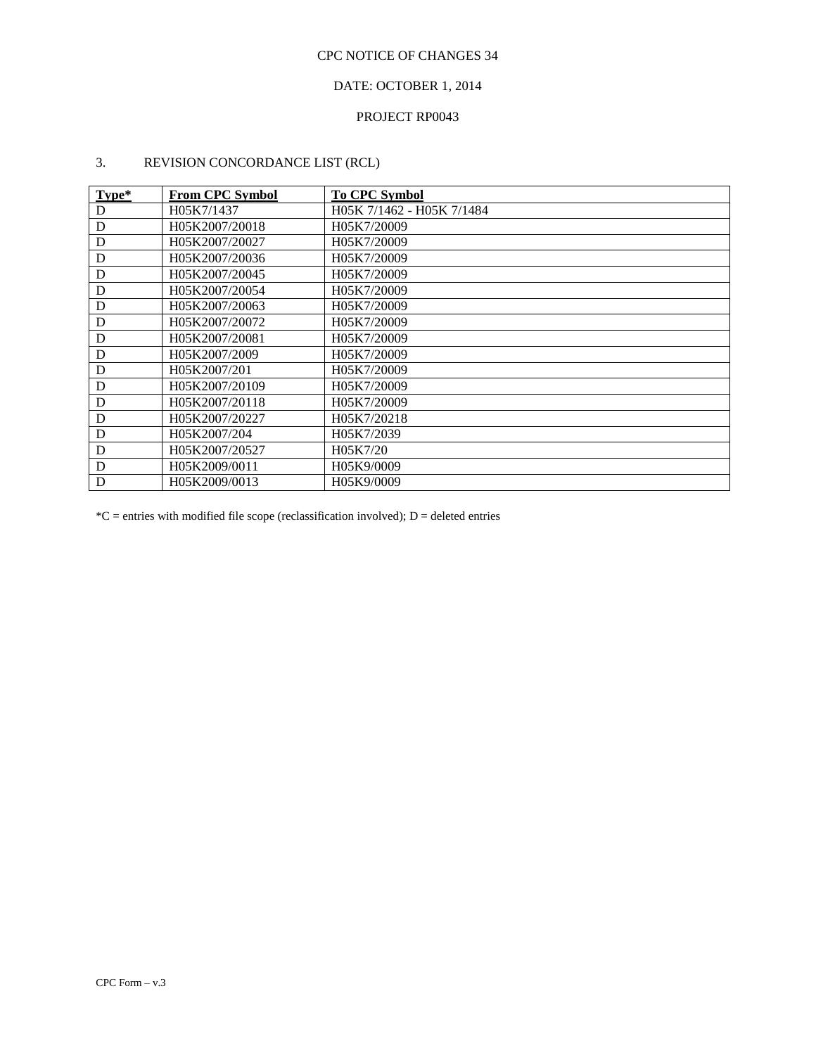## DATE: OCTOBER 1, 2014

## PROJECT RP0043

# 3. REVISION CONCORDANCE LIST (RCL)

| $Type*$ | <b>From CPC Symbol</b> | <b>To CPC Symbol</b>      |
|---------|------------------------|---------------------------|
| D       | H05K7/1437             | H05K 7/1462 - H05K 7/1484 |
| D       | H05K2007/20018         | H05K7/20009               |
| D       | H05K2007/20027         | H05K7/20009               |
| D       | H05K2007/20036         | H05K7/20009               |
| D       | H05K2007/20045         | H05K7/20009               |
| D       | H05K2007/20054         | H05K7/20009               |
| D       | H05K2007/20063         | H05K7/20009               |
| D       | H05K2007/20072         | H05K7/20009               |
| D       | H05K2007/20081         | H05K7/20009               |
| D       | H05K2007/2009          | H05K7/20009               |
| D       | H05K2007/201           | H05K7/20009               |
| D       | H05K2007/20109         | H05K7/20009               |
| D       | H05K2007/20118         | H05K7/20009               |
| D       | H05K2007/20227         | H05K7/20218               |
| D       | H05K2007/204           | H05K7/2039                |
| D       | H05K2007/20527         | H05K7/20                  |
| D       | H05K2009/0011          | H05K9/0009                |
| D       | H05K2009/0013          | H05K9/0009                |

 $*C$  = entries with modified file scope (reclassification involved); D = deleted entries